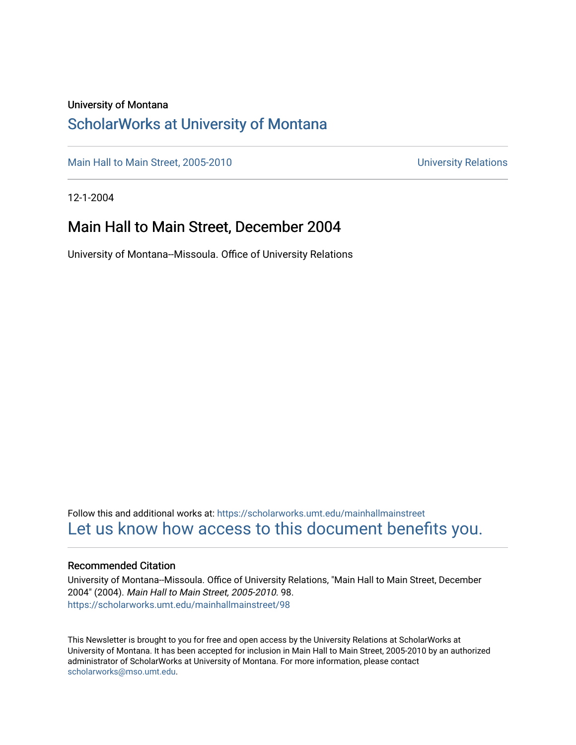#### University of Montana

#### [ScholarWorks at University of Montana](https://scholarworks.umt.edu/)

[Main Hall to Main Street, 2005-2010](https://scholarworks.umt.edu/mainhallmainstreet) Main Hall to Main Street, 2005-2010

12-1-2004

#### Main Hall to Main Street, December 2004

University of Montana--Missoula. Office of University Relations

Follow this and additional works at: [https://scholarworks.umt.edu/mainhallmainstreet](https://scholarworks.umt.edu/mainhallmainstreet?utm_source=scholarworks.umt.edu%2Fmainhallmainstreet%2F98&utm_medium=PDF&utm_campaign=PDFCoverPages) [Let us know how access to this document benefits you.](https://goo.gl/forms/s2rGfXOLzz71qgsB2) 

#### Recommended Citation

University of Montana--Missoula. Office of University Relations, "Main Hall to Main Street, December 2004" (2004). Main Hall to Main Street, 2005-2010. 98. [https://scholarworks.umt.edu/mainhallmainstreet/98](https://scholarworks.umt.edu/mainhallmainstreet/98?utm_source=scholarworks.umt.edu%2Fmainhallmainstreet%2F98&utm_medium=PDF&utm_campaign=PDFCoverPages) 

This Newsletter is brought to you for free and open access by the University Relations at ScholarWorks at University of Montana. It has been accepted for inclusion in Main Hall to Main Street, 2005-2010 by an authorized administrator of ScholarWorks at University of Montana. For more information, please contact [scholarworks@mso.umt.edu.](mailto:scholarworks@mso.umt.edu)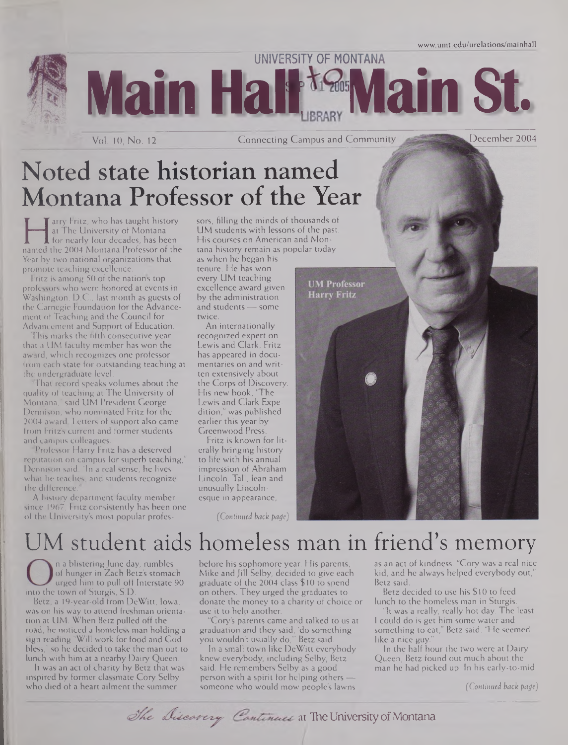**UNIVERSITY OF MONTANA Main Hall ta Main St.** 

Vol. 10, No. 12 **Connecting Campus and Community** 

December 2004

# Noted state historian named Montana Professor of the Year

arry FILE, who has taught history<br>at The University of Montana UM<br>for nearly four decades, has been His<br>mamed the 2004 Montana Professor of the tana Tarry Fritz, who has taught history at The University of Montana **f** for nearly four decades, has been Year by two national organizations that promote teaching excellence.

Fritz is among 50 of the nations top professors who were honored at events in Washington, D.C., last month as guests of the Carnegie Foundation for the Advancement of Teaching and the Council for Advancement and Support of Education.

This marks the fifth consecutive year that a UM faculty member has won the award, which recognizes one professor from each state for outstanding teaching at the undergraduate level.

That record speaks volumes about the quality of teaching at The University of Montana," said UM President George Dennison, who nominated Fritz for the 2004 award. Letters of support also came from Fritz's current and former students and campus colleagues.

Professor Harry Fritz has a deserved reputation on campus for superb teaching, Dennison said. "In a real sense, he lives what he teaches, and students recognize the difference.

A history department faculty member since 1967, Fritz consistently has been one of the University's most popular profes*sors,* filling the minds of thousands of UM students with lessons of the past. His courses on American and Montana history remain as popular today

as when he began his tenure. He has won every UM teaching excellence award given by the administration and students — some twice.

An internationally recognized expert on Lewis and Clark, Fritz has appeared in documentaries on and written extensively about the Corps of Discovery. His new book, "The Lewis and Clark Expedition," was published earlier this year by Greenwood Press.

Fritz is known for literally bringing history to life with his annual impression of Abraham Lincoln. Tall, lean and unusually Lincolnesque in appearance,

*(Continued back page)*

**UM Professor Harry Fritz** 

> as an act of kindness. "Cory was a real nice kid, and he always helped everybody out," Betz said.

Betz decided to use his \$10 to feed lunch to the homeless man in Sturgis.

"It was a really, really hot day. The least <sup>I</sup> could do is get him some water and something to eat," Betz said. "He seemed like a nice guy.

In the half hour the two were at Dairy Queen, Betz found out much about the man he had picked up. In his early-to-mid

*(Continued back page)*

UM student aids homeless man in friend'<sup>s</sup> memory n a blistering June day, rumbles of hunger in Zach Betz's stomach urged him to pull off Interstate 90 into the town of Sturgis, S.D.

Betz, a 19-year-old from DeWitt, Iowa, was on his way to attend freshman orientation at UM. When Betz pulled off the road, he noticed a homeless man holding a sign reading "Will work for food and God bless," so he decided to take the man out to lunch with him at a nearby Dairy Queen.

It was an act of charity by Betz that was inspired by former classmate Cory Selby, who died of a heart ailment the summer

before his sophomore year. His parents, Mike and Jill Selby, decided to give each graduate of the 2004 class \$ 10 to spend on others. They urged the graduates to donate the money to a charity of choice or use it to help another.

"Cory's parents came and talked to us at graduation and they said, 'do something you wouldn't usually do,"' Betz said.

In a small town like DeWitt everybody knew everybody, including Selby, Betz said. He remembers Selby as a good person with a spirit for helping others someone who would mow people's lawns

The Discarry Continues at The University of Montana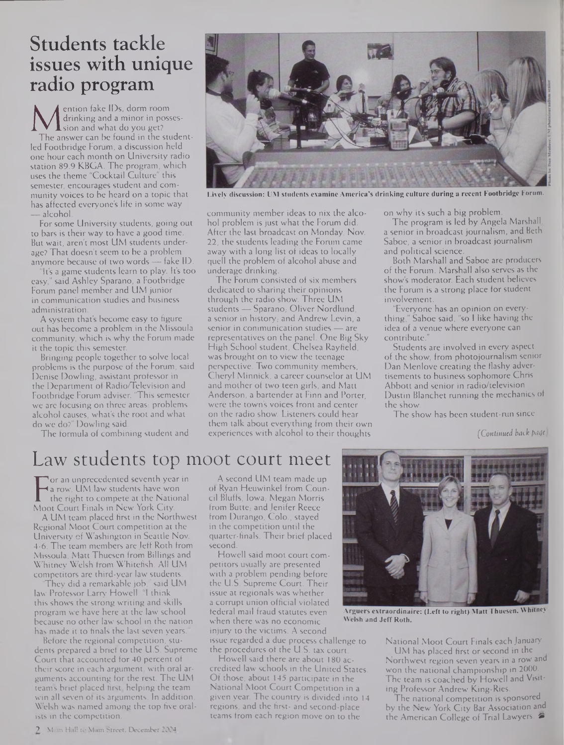# **Students tackle issues with unique radio program**

M drinking and a minor in posses-<br>The answer can be found in the student-<br>led Eostheiden Eorum a discussion held ention fake IDs, dorm room drinking and a minor in possession and what do you get? led Footbridge Forum, a discussion held one hour each month on University radio station 89.9 KBGA. The program, which uses the theme "Cocktail Culture" this semester, encourages student and community voices to be heard on a topic that has affected everyone's life in some way — alcohol.

For some University students, going out to bars is their way to have a good time. But wait, aren't most UM students underage? That doesn't seem to be a problem anymore because of two words — fake ID.

It's a game students learn to play. It's too easy," said Ashley Sparano, a Footbridge Forum panel member and UM junior in communication studies and business administration.

A system that's become easy to figure out has become a problem in the Missoula community, which is why the Forum made it the topic this semester.

Bringing people together to solve local problems is the purpose of the Forum, said Denise Dowling, assistant professor in the Department of Radio/Television and Footbridge Forum adviser. 'This semester we are focusing on three areas: problems alcohol causes, what's the root and what do we do?" Dowling said.

The formula of combining student and



**Lively discussion: UM students examine America's drinking culture during a recent Footbridge Forum.**

community member ideas to nix the alcohol problem is just what the Forum did. After the last broadcast on Monday, Nov. 22, the students leading the Forum came away with a long list of ideas to locally quell the problem of alcohol abuse and underage drinking.

The Forum consisted of six members dedicated to sharing their opinions through the radio show. Three UM students - Sparano, Oliver Nordlund a senior in history, and Andrew Levin, a senior in communication studies — are representatives on the panel. One Big Sky High School student, Chelsea Rayfield, was brought on to view the teenage perspective. Two community members, Cheryl Minnick, a career counselor at UM and mother of two teen girls, and Matt Anderson, a bartender at Finn and Porter, were the town's voices front and center on the radio show. Listeners could hear them talk about everything from their own experiences with alcohol to their thoughts

on why it's such a big problem.

The program is led by Angela Marshall, a senior in broadcast journalism, and Beth Saboe, a senior in broadcast journalism and political science.

Both Marshall and Saboe are producers of the Forum. Marshall also serves as the show's moderator. Each student believes the Forum is a strong place for student involvement.

"Everyone has an opinion on everything," Saboe said, "so <sup>I</sup> like having the idea of a venue where everyone can contribute."

Students are involved in every aspect of the show, from photojournalism senior Dan Menlove creating the flashy advertisements to business sophomore Chris Abbott and senior in radio/television Dustin Blanchet running the mechanics of the show.

The show has been student-run since

*(Continued hack page*

### Law students top moot court meet

**F** a row. UM law students have won<br>the right to compete at the National<br>Moot Court Finals in New York City. or an unprecedented seventh year in a row, UM law students have won the right to compete at the National

A UM team placed first in the Northwest Regional Moot Court competition at the University of Washington in Seattle Nov. 4-6. The team members are Jeff Roth from Missoula, Matt Thuesen from Billings and Whitney Welsh from Whitefish. All UM competitors are third-year law students.

They did a remarkable job," said UM law Professor Larry Howell. "I think this shows the strong writing and skills program we have here at the law school because no other law school in the nation has made it to finals the last seven years.

Before the regional competition, students prepared a brief to the U.S. Supreme Court that accounted for 40 percent of their score in each argument, with oral arguments accounting for the rest. The UM team's brief placed first, helping the team win all seven of its arguments. In addition, Welsh was named among the top five oralists in the competition.

A second UM team made up of Ryan Heuwinkel from Council Bluffs, Iowa, Megan Morris from Butte; and Jenifer Reece from Durango, Colo., stayed in the competition until the quarter-finals. Their brief placed second.

Howell said moot court competitors usually are presented with a problem pending before the U.S. Supreme Court. Their issue at regionals was whether a corrupt union official violated federal mail fraud statutes even when there was no economic injury to the victims. A second issue regarded a due process challenge to the procedures of the U.S. tax court.

Howell said there are about 180 accredited law schools in the United States. Of those, about 145 participate in the National Moot Court Competition in a given year. The country is divided into 14 regions, and the first- and second-place teams from each region move on to the



**Arguers extraordinaire: (Left to right) Matt Thuesen, Whitney Welsh and Jeff Roth.**

National Moot Court Finals each January. UM has placed first or second in the Northwest region seven years in a row and won the national championship in 2000. The team is coached by Howell and Visiting Professor Andrew King-Ries.

The national competition is sponsored by the New York City Bar Association and the American College of Trial Lawyers. **4»**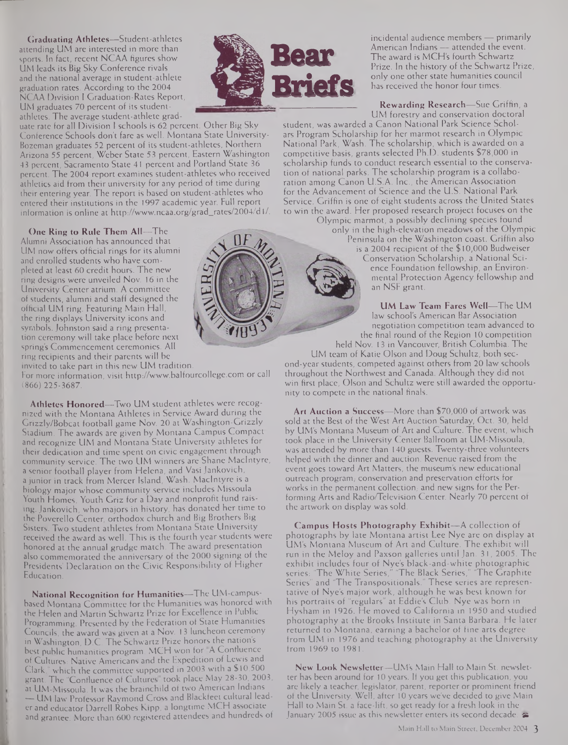**Graduating Athletes—**Student-athletes attending UM are interested in more than sports. In Fact, recent NCAA figures show UM leads its Big Sky Conference rivals and the national average in student-athlete graduation rates. According to the 2004 NCAA Division I Graduation-Rates Report, UM graduates 70 percent of its studentathletes. The average student-athlete grad-

uate rate for all Division <sup>I</sup> schools is 62 percent. Other Big Sky Conference Schools don't fare as well. Montana State University-Bozeman graduates 52 percent of its student-athletes, Northern Arizona 55 percent, Weber State 53 percent, Eastern Washington 43 percent, Sacramento State 41 percent and Portland State 36 percent. The 2004 report examines student-athletes who received athletics aid from their university for any period of time during their entering year. The report is based on student-athletes who entered their institutions in the 1997 academic year. Full report information is online at [http://www.ncaa.org/grad\\_rates/2004/dl/](http://www.ncaa.org/grad_rates/2004/dl/).

**One Ring to Rule Them All—**The Alumni Association has announced that UM now offers official rings for its alumni and enrolled students who have completed at least 60 credit hours. The new ring designs were unveiled Nov. 16 in the University Center atrium. A committee of students, alumni and staff designed the official UM ring. Featuring Main Hall, the ring displays University icons and symbols. Johnston said a ring presentation ceremony will take place before next **spring's** Commencement ceremonies. All ring recipients and their parents will be invited to take part in this new UM tradition.

For more information, visit <http://www.balfourcollege.com> or call (866) 225-3687.

**Athletes Honored—**Two UM student athletes were recognized with the Montana Athletes in Service Award during the Grizzly/Bobcat football game Nov. 20 at Washington-Grizzly Stadium. The awards are given by Montana Campus Compact and recognize UM and Montana State University athletes for their dedication and time spent on civic engagement through community service. The two UM winners are Shane MacIntyre, a senior football player from Helena, and Vasi Jankovich, a junior in track from Mercer Island, Wash. MacIntyre is a biology major whose community service includes Missoula Youth Homes, Youth Griz for a Day and nonprofit fund raising. Jankovich, who majors in history, has donated her time to the Poverello Center, orthodox church and Big Brothers Big Sisters. Two student athletes from Montana State University received the award as well. This is the fourth year students were honored at the annual grudge match. The award presentation also commemorated the anniversary of the 2000 signing of the Presidents' Declaration on the Civic Responsibility of Higher Education.

**National Recognition for Humanities—**The **UM-campus**based Montana Committee for the Humanities was honored with the Helen and Martin Schwartz Prize for Excellence in Public Programming. Presented by the Federation of State Humanities Councils, the award was given at a Nov. 13 luncheon ceremony in Washington, D.C. The Schwartz Prize honors the nation's best public humanities program. MCH won for A Confluence of Cultures: Native Americans and the Expedition of Lewis and Clark," which the committee supported in 2003 with a \$10,500 grant. The "Confluence of Cultures" took place May 28-30, 2003, at UM-Missoula. It was the brainchild of two American Indians — UM law Professor Raymond Cross and Blackfeet cultural leader and educator Darrell Robes Kipp, a longtime MCH associate and grantee. More than 600 registered attendees and hundreds of



incidental audience members — primarily American Indians — attended the event. The award is MCH's fourth Schwartz Prize. In the history of the Schwartz Prize, only one other state humanities council has received the honor four times.

**Rewarding Research—**Sue Griffin, a UM forestry and conservation doctoral

student, was awarded a Canon National Park Science Scholars Program Scholarship for her marmot research in Olympic National Park, Wash. The scholarship, which is awarded on a competitive basis, grants selected Ph.D. students \$78,000 in scholarship funds to conduct research essential to the conservation of national parks. The scholarship program is a collaboration among Canon U.S.A. Inc., the American Association for the Advancement of Science and the U.S. National Park Service. Griffin is one of eight students across the United States to win the award. Her proposed research project focuses on the

Olympic marmot, a possibly declining species found only in the high-elevation meadows of the Olympic Peninsula on the Washington coast. Griffin also is a 2004 recipient of the \$10,000 Budweiser Conservation Scholarship, a National Science Foundation fellowship, an Environmental Protection Agency fellowship and an NSF grant.

> **UM Law Team Fares Well—**The UM law school's American Bar Association negotiation competition team advanced to the final round of the Region 10 competition

held Nov. 13 in Vancouver, British Columbia. The UM team of Katie Olson and Doug Schultz, both second-year students, competed against others from 20 law schools throughout the Northwest and Canada. Although they did not win first place, Olson and Schultz were still awarded the opportunity to compete in the national finals.

**Art Auction a Success—**More than \$70,000 of artwork was sold at the Best of the West Art Auction Saturday, Oct. 30, held by UM's Montana Museum of Art and Culture. The event, which took place in the University Center Ballroom at UM-Missoula, was attended by more than 140 guests. Twenty-three volunteers helped with the dinner and auction. Revenue raised from the event goes toward Art Matters, the museum's new educational outreach program, conservation and preservation efforts for works in the permanent collection, and new signs for the Performing Arts and Radio/Television Center. Nearly 70 percent of the artwork on display was sold.

**Campus Hosts Photography Exhibit—A** collection of photographs by late Montana artist Lee Nye are on display at UM's Montana Museum of Art and Culture. The exhibit will run in the Meloy and Paxson galleries until Jan. 31, 2005. The exhibit includes four of Nye's black-and-white photographic series: "The White Series," "The Black Series," "The Graphite Series" and "The Transpositionals." These series are representative of Nye's major work, although he was best known for his portraits of "regulars" at Eddie's Club. Nye was born in Hysham in 1926. He moved to California in 1950 and studied photography at the Brooks Institute in Santa Barbara. He later returned to Montana, earning a bachelor of fine arts degree from UM in 1976 and teaching photography at the University from 1969 to 1981.

**New Look Newsletter—**UM's Main Hall to Main St. newsletter has been around for 10 years. If you get this publication, you are likely a teacher, legislator, parent, reporter or prominent friend of the University. Well, after 10 years we've decided to give Main Hail to Main St. a face-lift, so get ready for a fresh look in the January 2005 issue as this newsletter enters its second decade.  $\clubsuit$